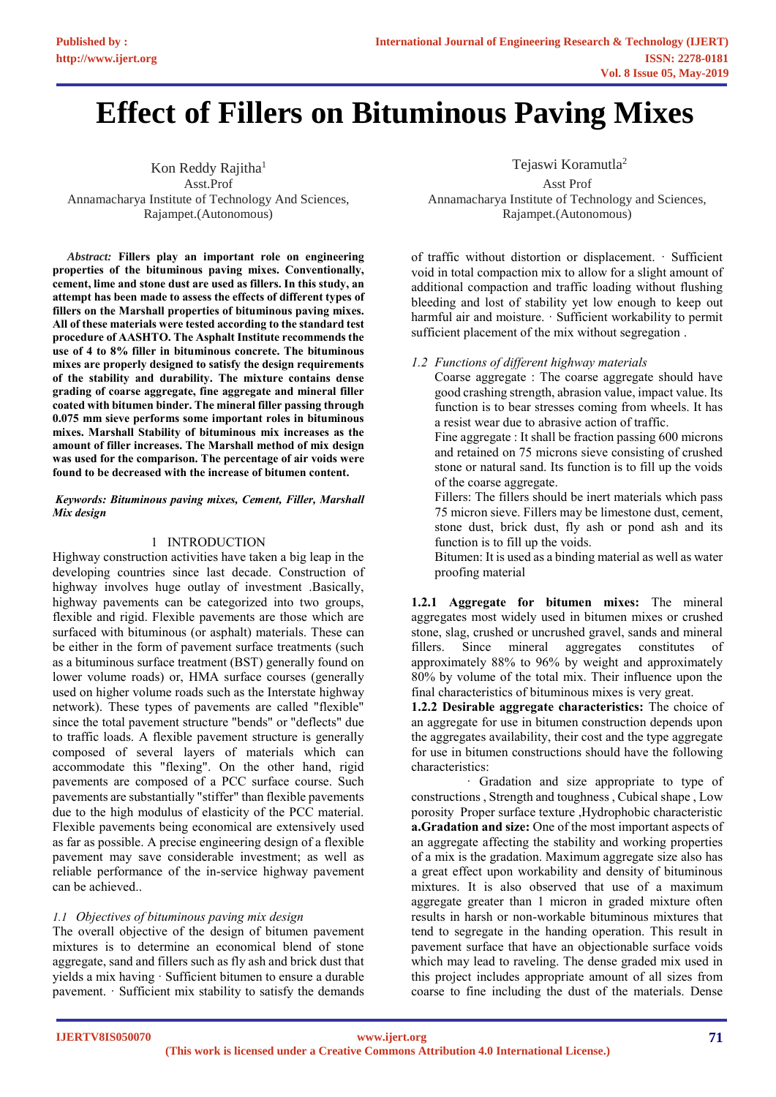# **Effect of Fillers on Bituminous Paving Mixes**

Kon Reddy Rajitha<sup>1</sup> Asst.Prof Annamacharya Institute of Technology And Sciences, Rajampet.(Autonomous)

*Abstract:* **Fillers play an important role on engineering properties of the bituminous paving mixes. Conventionally, cement, lime and stone dust are used as fillers. In this study, an attempt has been made to assess the effects of different types of fillers on the Marshall properties of bituminous paving mixes. All of these materials were tested according to the standard test procedure of AASHTO. The Asphalt Institute recommends the use of 4 to 8% filler in bituminous concrete. The bituminous mixes are properly designed to satisfy the design requirements of the stability and durability. The mixture contains dense grading of coarse aggregate, fine aggregate and mineral filler coated with bitumen binder. The mineral filler passing through 0.075 mm sieve performs some important roles in bituminous mixes. Marshall Stability of bituminous mix increases as the amount of filler increases. The Marshall method of mix design was used for the comparison. The percentage of air voids were found to be decreased with the increase of bitumen content.**

## *Keywords: Bituminous paving mixes, Cement, Filler, Marshall Mix design*

# 1 INTRODUCTION

Highway construction activities have taken a big leap in the developing countries since last decade. Construction of highway involves huge outlay of investment .Basically, highway pavements can be categorized into two groups, flexible and rigid. Flexible pavements are those which are surfaced with bituminous (or asphalt) materials. These can be either in the form of pavement surface treatments (such as a bituminous surface treatment (BST) generally found on lower volume roads) or, HMA surface courses (generally used on higher volume roads such as the Interstate highway network). These types of pavements are called "flexible" since the total pavement structure "bends" or "deflects" due to traffic loads. A flexible pavement structure is generally composed of several layers of materials which can accommodate this "flexing". On the other hand, rigid pavements are composed of a PCC surface course. Such pavements are substantially "stiffer" than flexible pavements due to the high modulus of elasticity of the PCC material. Flexible pavements being economical are extensively used as far as possible. A precise engineering design of a flexible pavement may save considerable investment; as well as reliable performance of the in-service highway pavement can be achieved..

# *1.1 Objectives of bituminous paving mix design*

The overall objective of the design of bitumen pavement mixtures is to determine an economical blend of stone aggregate, sand and fillers such as fly ash and brick dust that yields a mix having · Sufficient bitumen to ensure a durable pavement. · Sufficient mix stability to satisfy the demands

Tejaswi Koramutla<sup>2</sup>

Asst Prof Annamacharya Institute of Technology and Sciences, Rajampet.(Autonomous)

of traffic without distortion or displacement. · Sufficient void in total compaction mix to allow for a slight amount of additional compaction and traffic loading without flushing bleeding and lost of stability yet low enough to keep out harmful air and moisture. · Sufficient workability to permit sufficient placement of the mix without segregation .

*1.2 Functions of different highway materials* 

Coarse aggregate : The coarse aggregate should have good crashing strength, abrasion value, impact value. Its function is to bear stresses coming from wheels. It has a resist wear due to abrasive action of traffic.

Fine aggregate : It shall be fraction passing 600 microns and retained on 75 microns sieve consisting of crushed stone or natural sand. Its function is to fill up the voids of the coarse aggregate.

Fillers: The fillers should be inert materials which pass 75 micron sieve. Fillers may be limestone dust, cement, stone dust, brick dust, fly ash or pond ash and its function is to fill up the voids.

Bitumen: It is used as a binding material as well as water proofing material

**1.2.1 Aggregate for bitumen mixes:** The mineral aggregates most widely used in bitumen mixes or crushed stone, slag, crushed or uncrushed gravel, sands and mineral fillers. Since mineral aggregates constitutes of approximately 88% to 96% by weight and approximately 80% by volume of the total mix. Their influence upon the final characteristics of bituminous mixes is very great.

**1.2.2 Desirable aggregate characteristics:** The choice of an aggregate for use in bitumen construction depends upon the aggregates availability, their cost and the type aggregate for use in bitumen constructions should have the following characteristics:

· Gradation and size appropriate to type of constructions , Strength and toughness , Cubical shape , Low porosity Proper surface texture ,Hydrophobic characteristic **a.Gradation and size:** One of the most important aspects of an aggregate affecting the stability and working properties of a mix is the gradation. Maximum aggregate size also has a great effect upon workability and density of bituminous mixtures. It is also observed that use of a maximum aggregate greater than 1 micron in graded mixture often results in harsh or non-workable bituminous mixtures that tend to segregate in the handing operation. This result in pavement surface that have an objectionable surface voids which may lead to raveling. The dense graded mix used in this project includes appropriate amount of all sizes from coarse to fine including the dust of the materials. Dense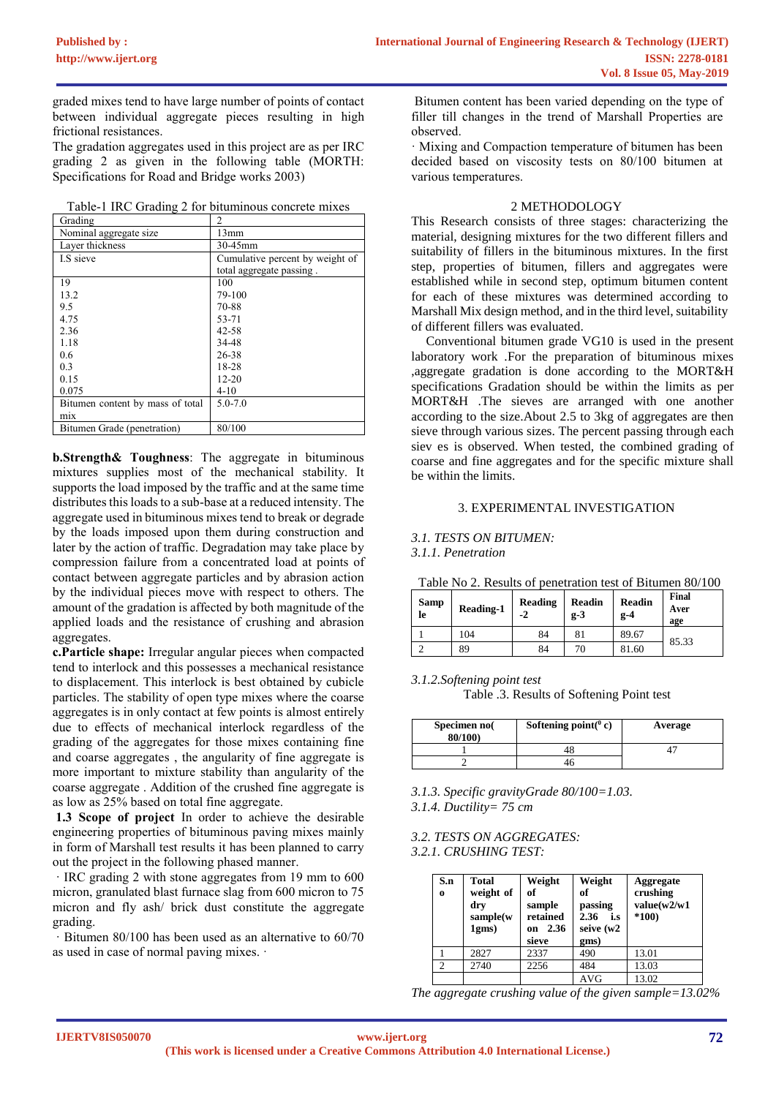graded mixes tend to have large number of points of contact between individual aggregate pieces resulting in high frictional resistances.

The gradation aggregates used in this project are as per IRC grading 2 as given in the following table (MORTH: Specifications for Road and Bridge works 2003)

Table-1 IRC Grading 2 for bituminous concrete mixes

| Grading                          | $\mathfrak{D}$                  |
|----------------------------------|---------------------------------|
| Nominal aggregate size           | 13mm                            |
| Layer thickness                  | 30-45mm                         |
| LS sieve                         | Cumulative percent by weight of |
|                                  | total aggregate passing.        |
| 19                               | 100                             |
| 13.2                             | 79-100                          |
| 9.5                              | 70-88                           |
| 4.75                             | 53-71                           |
| 2.36                             | 42-58                           |
| 1.18                             | 34-48                           |
| 0.6                              | 26-38                           |
| 0.3                              | 18-28                           |
| 0.15                             | $12 - 20$                       |
| 0.075                            | $4 - 10$                        |
| Bitumen content by mass of total | $5.0 - 7.0$                     |
| mix                              |                                 |
| Bitumen Grade (penetration)      | 80/100                          |

**b.Strength& Toughness**: The aggregate in bituminous mixtures supplies most of the mechanical stability. It supports the load imposed by the traffic and at the same time distributes this loads to a sub-base at a reduced intensity. The aggregate used in bituminous mixes tend to break or degrade by the loads imposed upon them during construction and later by the action of traffic. Degradation may take place by compression failure from a concentrated load at points of contact between aggregate particles and by abrasion action by the individual pieces move with respect to others. The amount of the gradation is affected by both magnitude of the applied loads and the resistance of crushing and abrasion aggregates.

**c.Particle shape:** Irregular angular pieces when compacted tend to interlock and this possesses a mechanical resistance to displacement. This interlock is best obtained by cubicle particles. The stability of open type mixes where the coarse aggregates is in only contact at few points is almost entirely due to effects of mechanical interlock regardless of the grading of the aggregates for those mixes containing fine and coarse aggregates , the angularity of fine aggregate is more important to mixture stability than angularity of the coarse aggregate . Addition of the crushed fine aggregate is as low as 25% based on total fine aggregate.

**1.3 Scope of project** In order to achieve the desirable engineering properties of bituminous paving mixes mainly in form of Marshall test results it has been planned to carry out the project in the following phased manner.

· IRC grading 2 with stone aggregates from 19 mm to 600 micron, granulated blast furnace slag from 600 micron to 75 micron and fly ash/ brick dust constitute the aggregate grading.

· Bitumen 80/100 has been used as an alternative to 60/70 as used in case of normal paving mixes. ·

Bitumen content has been varied depending on the type of filler till changes in the trend of Marshall Properties are observed.

· Mixing and Compaction temperature of bitumen has been decided based on viscosity tests on 80/100 bitumen at various temperatures.

# 2 METHODOLOGY

This Research consists of three stages: characterizing the material, designing mixtures for the two different fillers and suitability of fillers in the bituminous mixtures. In the first step, properties of bitumen, fillers and aggregates were established while in second step, optimum bitumen content for each of these mixtures was determined according to Marshall Mix design method, and in the third level, suitability of different fillers was evaluated.

Conventional bitumen grade VG10 is used in the present laboratory work .For the preparation of bituminous mixes ,aggregate gradation is done according to the MORT&H specifications Gradation should be within the limits as per MORT&H .The sieves are arranged with one another according to the size.About 2.5 to 3kg of aggregates are then sieve through various sizes. The percent passing through each siev es is observed. When tested, the combined grading of coarse and fine aggregates and for the specific mixture shall be within the limits.

# 3. EXPERIMENTAL INVESTIGATION

# *3.1. TESTS ON BITUMEN:*

*3.1.1. Penetration*

|                      | Table No 2. Results of penetration test of Bitumen 80/100 |                 |                 |                        |                      |
|----------------------|-----------------------------------------------------------|-----------------|-----------------|------------------------|----------------------|
| Samp<br>le <b>le</b> | Reading-1                                                 | Reading<br>$-2$ | Readin<br>$g-3$ | <b>Readin</b><br>$g-4$ | Final<br>Aver<br>age |
|                      | 104                                                       | 84              | 81              | 89.67                  | 85.33                |
|                      | 89                                                        | 84              | 70              | 81.60                  |                      |

#### *3.1.2.Softening point test*

Table .3. Results of Softening Point test

| Specimen no<br>80/100) | Softening point( $^0$ c) | Average |
|------------------------|--------------------------|---------|
|                        |                          |         |
|                        |                          |         |

*3.1.3. Specific gravityGrade 80/100=1.03. 3.1.4. Ductility= 75 cm*

*3.2. TESTS ON AGGREGATES: 3.2.1. CRUSHING TEST:*

| S.n<br>$\bf{0}$ | Total<br>weight of<br>dry<br>sample(w<br>1gms) | Weight<br>of<br>sample<br>retained<br>2.36<br>on<br>sieve | Weight<br>of<br>passing<br>2.36<br>i.s<br>seive (w2<br>gms) | Aggregate<br>crushing<br>value(w2/w1<br>$*100$ |
|-----------------|------------------------------------------------|-----------------------------------------------------------|-------------------------------------------------------------|------------------------------------------------|
|                 | 2827                                           | 2337                                                      | 490                                                         | 13.01                                          |
| $\overline{c}$  | 2740                                           | 2256                                                      | 484                                                         | 13.03                                          |
|                 |                                                |                                                           |                                                             |                                                |

*The aggregate crushing value of the given sample=13.02%*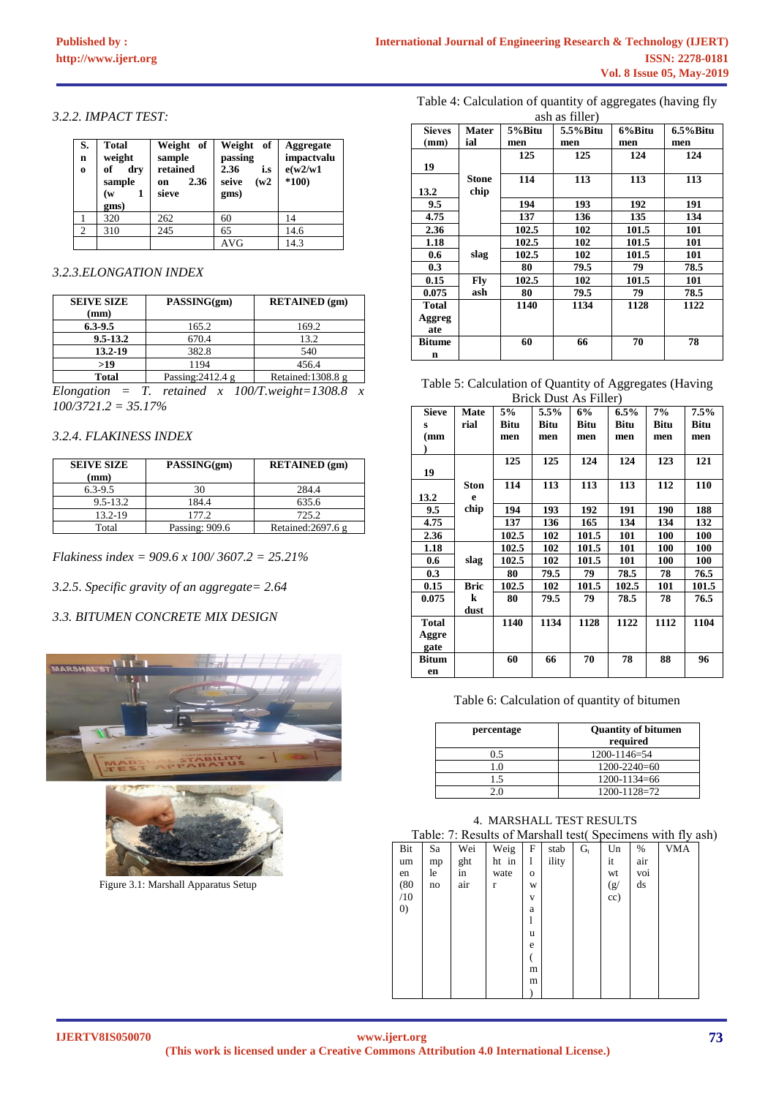## *3.2.2. IMPACT TEST:*

| S.<br>$\mathbf n$<br>$\bf{0}$ | <b>Total</b><br>weight<br>of<br>dry<br>sample<br>(w<br>gms) | Weight of<br>sample<br>retained<br>2.36<br>on<br>sieve | Weight<br>of<br>passing<br>2.36<br>i.s<br>(w2)<br>seive<br>gms) | Aggregate<br>impactvalu<br>e(w2/w1)<br>$*100)$ |
|-------------------------------|-------------------------------------------------------------|--------------------------------------------------------|-----------------------------------------------------------------|------------------------------------------------|
|                               | 320                                                         | 262                                                    | 60                                                              | 14                                             |
| $\overline{2}$                | 310                                                         | 245                                                    | 65                                                              | 14.6                                           |
|                               |                                                             |                                                        |                                                                 |                                                |

# *3.2.3.ELONGATION INDEX*

| <b>SEIVE SIZE</b> | PASSING(gm)                             | <b>RETAINED</b> (gm)                    |
|-------------------|-----------------------------------------|-----------------------------------------|
| (mm)              |                                         |                                         |
| $6.3 - 9.5$       | 165.2                                   | 169.2                                   |
| $9.5 - 13.2$      | 670.4                                   | 13.2                                    |
| 13.2-19           | 382.8                                   | 540                                     |
| >19               | 1194                                    | 456.4                                   |
| <b>Total</b>      | Passing: $2412.4 g$                     | Retained: $1308.8 \text{ g}$            |
| Flanation         | $\bm{\tau}$<br>rotained<br>$\mathbf{v}$ | $100/T$ weight - 1308 8<br>$\mathbf{v}$ |

*Elongation = T. retained x 100/T.weight=1308.8 x 100/3721.2 = 35.17%*

# *3.2.4. FLAKINESS INDEX*

| <b>SEIVE SIZE</b> | PASSING(gm)    | <b>RETAINED</b> (gm) |
|-------------------|----------------|----------------------|
| (mm)              |                |                      |
| $6.3 - 9.5$       | 30             | 284.4                |
| $9.5 - 13.2$      | 184.4          | 635.6                |
| 13.2-19           | 177.2          | 725.2                |
| Total             | Passing: 909.6 | Retained: $2697.6$ g |

*Flakiness index = 909.6 x 100/ 3607.2 = 25.21%*

*3.2.5. Specific gravity of an aggregate= 2.64*

# *3.3. BITUMEN CONCRETE MIX DESIGN*





Figure 3.1: Marshall Apparatus Setup

Table 4: Calculation of quantity of aggregates (having fly ash as filler)

| <b>Sieves</b> | <b>Mater</b> | 5%Bitu | $\omega$ as $\mu$ $\omega$<br>5.5%Bitu | 6%Bitu | $6.5\%$ Bitu |
|---------------|--------------|--------|----------------------------------------|--------|--------------|
|               |              |        |                                        |        |              |
| (mm)          | ial          | men    | men                                    | men    | men          |
|               |              | 125    | 125                                    | 124    | 124          |
| 19            |              |        |                                        |        |              |
|               | Stone        | 114    | 113                                    | 113    | 113          |
| 13.2          | chip         |        |                                        |        |              |
| 9.5           |              | 194    | 193                                    | 192    | 191          |
| 4.75          |              | 137    | 136                                    | 135    | 134          |
| 2.36          |              | 102.5  | 102                                    | 101.5  | 101          |
| 1.18          |              | 102.5  | 102                                    | 101.5  | 101          |
| 0.6           | slag         | 102.5  | 102                                    | 101.5  | 101          |
| 0.3           |              | 80     | 79.5                                   | 79     | 78.5         |
| 0.15          | Fly          | 102.5  | 102                                    | 101.5  | 101          |
| 0.075         | ash          | 80     | 79.5                                   | 79     | 78.5         |
| <b>Total</b>  |              | 1140   | 1134                                   | 1128   | 1122         |
| Aggreg        |              |        |                                        |        |              |
| ate           |              |        |                                        |        |              |
| <b>Bitume</b> |              | 60     | 66                                     | 70     | 78           |
| n             |              |        |                                        |        |              |

# Table 5: Calculation of Quantity of Aggregates (Having Brick Dust As Filler)

| <b>Sieve</b> | Mate        | 5%    | 5.5% | 6%          | $6.5\%$     | 7%          | 7.5%  |
|--------------|-------------|-------|------|-------------|-------------|-------------|-------|
| s            | rial        | Bitu  | Bitu | <b>Bitu</b> | <b>Bitu</b> | <b>Bitu</b> | Bitu  |
| (mm          |             | men   | men  | men         | men         | men         | men   |
|              |             |       |      |             |             |             |       |
|              |             | 125   | 125  | 124         | 124         | 123         | 121   |
| 19           |             |       |      |             |             |             |       |
|              | <b>Ston</b> | 114   | 113  | 113         | 113         | 112         | 110   |
| 13.2         | e           |       |      |             |             |             |       |
| 9.5          | chip        | 194   | 193  | 192         | 191         | 190         | 188   |
| 4.75         |             | 137   | 136  | 165         | 134         | 134         | 132   |
| 2.36         |             | 102.5 | 102  | 101.5       | 101         | 100         | 100   |
| 1.18         |             | 102.5 | 102  | 101.5       | 101         | 100         | 100   |
| 0.6          | slag        | 102.5 | 102  | 101.5       | 101         | 100         | 100   |
| 0.3          |             | 80    | 79.5 | 79          | 78.5        | 78          | 76.5  |
| 0.15         | <b>Bric</b> | 102.5 | 102  | 101.5       | 102.5       | 101         | 101.5 |
| 0.075        | k           | 80    | 79.5 | 79          | 78.5        | 78          | 76.5  |
|              | dust        |       |      |             |             |             |       |
| <b>Total</b> |             | 1140  | 1134 | 1128        | 1122        | 1112        | 1104  |
| Aggre        |             |       |      |             |             |             |       |
| gate         |             |       |      |             |             |             |       |
| Bitum        |             | 60    | 66   | 70          | 78          | 88          | 96    |
| en           |             |       |      |             |             |             |       |

# Table 6: Calculation of quantity of bitumen

| percentage | <b>Quantity of bitumen</b><br>required |
|------------|----------------------------------------|
| 0.5        | 1200-1146=54                           |
| 1.0        | $1200 - 2240 = 60$                     |
| 1.5        | $1200 - 1134 = 66$                     |
|            | 1200-1128=72                           |

# 4. MARSHALL TEST RESULTS

| Table: 7: Results of Marshall test (Specimens with fly ash) |  |  |  |
|-------------------------------------------------------------|--|--|--|
|                                                             |  |  |  |

|                   |    |     |       |                         |       |       |     |     | -- J       |  |
|-------------------|----|-----|-------|-------------------------|-------|-------|-----|-----|------------|--|
| Bit               | Sa | Wei | Weig  | F                       | stab  | $G_t$ | Un  | %   | <b>VMA</b> |  |
| um                | mp | ght | ht in | 1                       | ility |       | it  | air |            |  |
| en                | le | in  | wate  | $\mathbf{O}$            |       |       | wt  | voi |            |  |
| (80)              | no | air | r     | W                       |       |       | (g/ | ds  |            |  |
| /10               |    |     |       | $\overline{\mathbf{V}}$ |       |       | cc) |     |            |  |
| $\left( 0\right)$ |    |     |       | a                       |       |       |     |     |            |  |
|                   |    |     |       | l                       |       |       |     |     |            |  |
|                   |    |     |       | u                       |       |       |     |     |            |  |
|                   |    |     |       | e                       |       |       |     |     |            |  |
|                   |    |     |       |                         |       |       |     |     |            |  |
|                   |    |     |       | m                       |       |       |     |     |            |  |
|                   |    |     |       | m                       |       |       |     |     |            |  |
|                   |    |     |       |                         |       |       |     |     |            |  |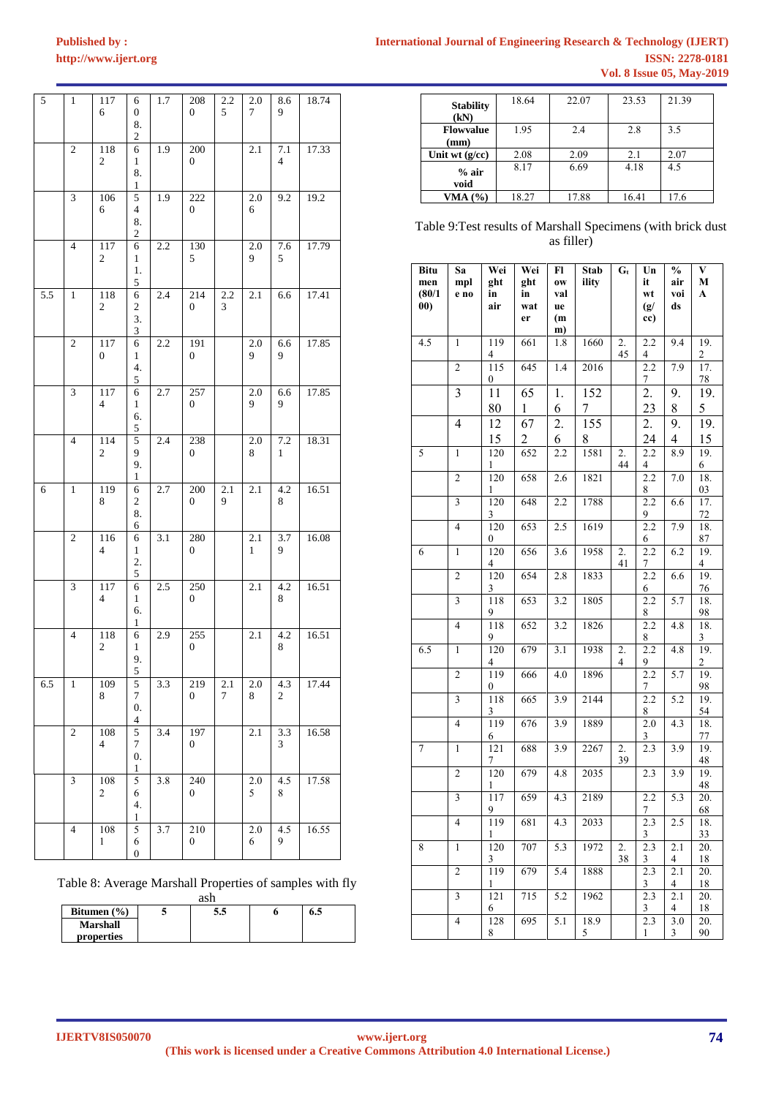# $http://www.ijert.org$ **[Published by :](www.ijert.org)**

| <b>International Journal of Engineering Research &amp; Technology (IJERT)</b> |                                  |                        |
|-------------------------------------------------------------------------------|----------------------------------|------------------------|
|                                                                               |                                  | <b>ISSN: 2278-0181</b> |
|                                                                               | <b>Vol. 8 Issue 05, May-2019</b> |                        |

| $\sqrt{5}$ | 1                | 117<br>6                | 6<br>$\boldsymbol{0}$<br>8.<br>2        | 1.7              | 208<br>$\boldsymbol{0}$ | 2.2<br>5      | 2.0<br>7            | 8.6<br>9                | 18.74 |
|------------|------------------|-------------------------|-----------------------------------------|------------------|-------------------------|---------------|---------------------|-------------------------|-------|
|            | $\mathfrak{2}$   | 118<br>2                | 6<br>1<br>8.<br>1                       | 1.9              | 200<br>0                |               | 2.1                 | $7.1\,$<br>4            | 17.33 |
|            | 3                | 106<br>6                | 5<br>4<br>8.<br>2                       | 1.9              | 222<br>0                |               | 2.0<br>6            | 9.2                     | 19.2  |
|            | $\overline{4}$   | 117<br>$\boldsymbol{2}$ | 6<br>1<br>1.<br>5                       | 2.2              | 130<br>5                |               | 2.0<br>9            | 7.6<br>5                | 17.79 |
| 5.5        | $\mathbf{1}$     | 118<br>$\mathbf{2}$     | 6<br>2<br>3.<br>3                       | 2.4              | 214<br>$\boldsymbol{0}$ | 2.2<br>3      | 2.1                 | 6.6                     | 17.41 |
|            | $\mathfrak{2}$   | 117<br>0                | 6<br>$\mathbf{1}$<br>4.<br>5            | 2.2              | 191<br>$\boldsymbol{0}$ |               | 2.0<br>9            | 6.6<br>9                | 17.85 |
|            | $\mathfrak{Z}$   | 117<br>4                | 6<br>$\mathbf{1}$<br>6.<br>5            | 2.7              | 257<br>$\boldsymbol{0}$ |               | 2.0<br>9            | 6.6<br>9                | 17.85 |
|            | $\overline{4}$   | 114<br>$\mathfrak{2}$   | 5<br>9<br>9.<br>1                       | 2.4              | 238<br>$\boldsymbol{0}$ |               | 2.0<br>8            | $7.2\,$<br>$\mathbf{1}$ | 18.31 |
| 6          | $\mathbf{1}$     | 119<br>8                | 6<br>$\overline{\mathbf{c}}$<br>8.<br>6 | 2.7              | 200<br>$\boldsymbol{0}$ | 2.1<br>9      | 2.1                 | 4.2<br>8                | 16.51 |
|            | $\mathfrak{2}$   | 116<br>$\overline{4}$   | 6<br>$\mathbf{1}$<br>2.<br>5            | 3.1              | 280<br>0                |               | 2.1<br>$\mathbf{1}$ | 3.7<br>9                | 16.08 |
|            | 3                | 117<br>4                | 6<br>1<br>6.<br>1                       | 2.5              | 250<br>0                |               | 2.1                 | 4.2<br>8                | 16.51 |
|            | $\overline{4}$   | 118<br>2                | 6<br>$\mathbf{1}$<br>9.<br>5            | 2.9              | 255<br>$\boldsymbol{0}$ |               | 2.1                 | 4.2<br>8                | 16.51 |
| 6.5        | 1                | 109<br>8                | 5<br>$\boldsymbol{7}$<br>0.<br>4        | 3.3              | 219<br>0                | 2.1<br>$\tau$ | 2.0<br>8            | 4.3<br>2                | 17.44 |
|            | $\boldsymbol{2}$ | 108<br>4                | 5<br>$\tau$<br>0.<br>1                  | 3.4              | 197<br>0                |               | 2.1                 | 3.3<br>3                | 16.58 |
|            | 3                | 108<br>2                | 5<br>6<br>4.<br>1                       | $\overline{3.8}$ | 240<br>0                |               | 2.0<br>5            | 4.5<br>8                | 17.58 |
|            | 4                | 108<br>1                | 5<br>6<br>$\boldsymbol{0}$              | 3.7              | 210<br>$\boldsymbol{0}$ |               | 2.0<br>6            | 4.5<br>9                | 16.55 |

Table 8: Average Marshall Properties of samples with fly

| ash             |   |     |  |     |  |  |  |  |
|-----------------|---|-----|--|-----|--|--|--|--|
| Bitumen $(\% )$ | J | 5.5 |  | 6.5 |  |  |  |  |
| <b>Marshall</b> |   |     |  |     |  |  |  |  |
| properties      |   |     |  |     |  |  |  |  |

| <b>Stability</b><br>(kN) | 18.64 | 22.07 | 23.53 | 21.39 |
|--------------------------|-------|-------|-------|-------|
| <b>Flowvalue</b><br>(mm) | 1.95  | 2.4   | 2.8   | 3.5   |
| Unit wt $(g/cc)$         | 2.08  | 2.09  | 2.1   | 2.07  |
| $%$ air<br>void          | 8.17  | 6.69  | 4.18  | 4.5   |
| VMA $(%)$                | 18.27 | 17.88 | 16.41 | 17.6  |

Table 9:Test results of Marshall Specimens (with brick dust as filler)

| <b>Bitu</b><br>men<br>(80/1) | Sa<br>mpl<br>e no       | Wei<br>ght<br>in        | Wei<br>ght<br>in      | Fl<br>0W<br>val | Stab<br>ility    | $G_t$                  | Un<br>it<br>wt        | $\frac{0}{0}$<br>air<br>voi     | V<br>M<br>A             |
|------------------------------|-------------------------|-------------------------|-----------------------|-----------------|------------------|------------------------|-----------------------|---------------------------------|-------------------------|
| 00)                          |                         | air                     | wat<br>er             | ue<br>(m<br>m)  |                  |                        | (g/<br>cc)            | ds                              |                         |
| 4.5                          | $\mathbf{1}$            | 119<br>4                | 661                   | 1.8             | 1660             | 2.<br>45               | 2.2<br>4              | 9.4                             | 19.<br>$\overline{c}$   |
|                              | $\overline{c}$          | 115<br>0                | 645                   | 1.4             | 2016             |                        | $\overline{2.2}$<br>7 | 7.9                             | $\overline{17}$ .<br>78 |
|                              | $\overline{3}$          | 11                      | 65                    | 1.              | 152              |                        | $\overline{2}$ .      | 9.                              | 19.                     |
|                              |                         | 80                      | 1                     | 6               | 7                |                        | 23                    | 8                               | 5                       |
|                              | 4                       | 12                      | 67                    | 2.              | $\overline{155}$ |                        | 2.                    | 9.                              | 19.                     |
| 5                            | $\mathbf{1}$            | 15<br>120               | $\overline{2}$<br>652 | 6<br>2.2        | 8<br>1581        | $\overline{2}$ .       | 24<br>2.2             | 4<br>8.9                        | 15<br>19.               |
|                              |                         | 1                       |                       |                 |                  | 44                     | 4                     |                                 | 6                       |
|                              | $\overline{2}$          | 120<br>1                | 658                   | 2.6             | 1821             |                        | 2.2<br>8              | 7.0                             | 18.<br>03               |
|                              | $\overline{\mathbf{3}}$ | 120<br>3                | 648                   | 2.2             | 1788             |                        | 2.2<br>9              | 6.6                             | 17.<br>72               |
|                              | $\overline{4}$          | 120<br>0                | 653                   | 2.5             | 1619             |                        | 2.2<br>6              | 7.9                             | 18.<br>87               |
| 6                            | $\mathbf{1}$            | 120<br>4                | 656                   | 3.6             | 1958             | 2.<br>41               | 2.2<br>$\overline{7}$ | 6.2                             | 19.<br>4                |
|                              | $\overline{c}$          | 120<br>3                | 654                   | 2.8             | 1833             |                        | 2.2<br>6              | 6.6                             | 19.<br>76               |
|                              | 3                       | 118<br>9                | 653                   | 3.2             | 1805             |                        | 2.2<br>8              | 5.7                             | 18.<br>98               |
|                              | $\overline{\mathbf{4}}$ | 118<br>9                | 652                   | 3.2             | 1826             |                        | 2.2<br>8              | 4.8                             | 18.<br>3                |
| 6.5                          | $\mathbf{1}$            | 120<br>4                | 679                   | 3.1             | 1938             | 2.<br>4                | 2.2<br>9              | $\overline{4.8}$                | 19.<br>$\overline{2}$   |
|                              | $\overline{2}$          | 119<br>$\boldsymbol{0}$ | 666                   | 4.0             | 1896             |                        | $\overline{2.2}$<br>7 | 5.7                             | 19.<br>98               |
|                              | 3                       | 118<br>3                | 665                   | 3.9             | 2144             |                        | 2.2<br>8              | 5.2                             | 19.<br>54               |
|                              | $\overline{4}$          | 119<br>6                | 676                   | 3.9             | 1889             |                        | 2.0<br>3              | 4.3                             | 18.<br>77               |
| $\overline{7}$               | $\mathbf{1}$            | 121<br>7                | 688                   | 3.9             | 2267             | $\overline{2}$ .<br>39 | 2.3                   | 3.9                             | 19.<br>48               |
|                              | $\overline{2}$          | 120<br>1                | 679                   | 4.8             | 2035             |                        | 2.3                   | 3.9                             | 19.<br>48               |
|                              | 3                       | 117<br>9                | 659                   | 4.3             | 2189             |                        | 2.2<br>7              | 5.3                             | 20.<br>68               |
|                              | $\overline{4}$          | 119<br>1                | 681                   | 4.3             | 2033             |                        | 2.3<br>3              | 2.5                             | 18.<br>33               |
| 8                            | $\mathbf{1}$            | 120<br>3                | 707                   | 5.3             | 1972             | 2.<br>38               | 2.3<br>3              | 2.1<br>4                        | 20.<br>18               |
|                              | $\overline{2}$          | 119<br>1                | 679                   | 5.4             | 1888             |                        | $\overline{2.3}$<br>3 | 2.1<br>$\overline{\mathcal{A}}$ | 20.<br>18               |
|                              | $\overline{\mathbf{3}}$ | 121<br>6                | 715                   | 5.2             | 1962             |                        | 2.3<br>3              | 2.1<br>$\overline{4}$           | 20.<br>18               |
|                              | $\overline{\mathbf{4}}$ | 128<br>8                | 695                   | 5.1             | 18.9<br>5        |                        | 2.3<br>$\mathbf{1}$   | 3.0<br>3                        | 20.<br>90               |